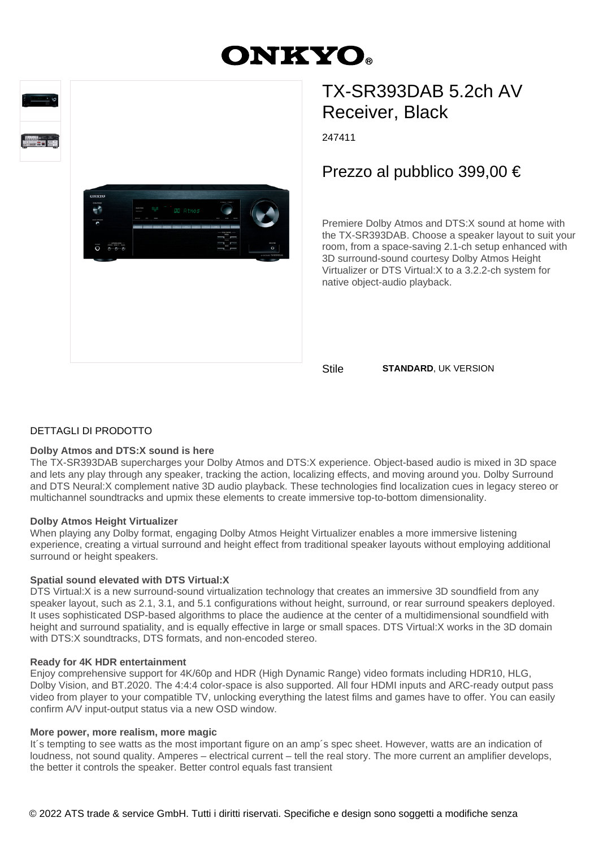# **ONKYO.**





## TX-SR393DAB 5.2ch AV Receiver, Black

247411

### Prezzo al pubblico 399,00 €

Premiere Dolby Atmos and DTS:X sound at home with the TX-SR393DAB. Choose a speaker layout to suit your room, from a space-saving 2.1-ch setup enhanced with 3D surround-sound courtesy Dolby Atmos Height Virtualizer or DTS Virtual:X to a 3.2.2-ch system for native object-audio playback.

Stile **STANDARD**, UK VERSION

#### DETTAGLI DI PRODOTTO

#### **Dolby Atmos and DTS:X sound is here**

The TX-SR393DAB supercharges your Dolby Atmos and DTS:X experience. Object-based audio is mixed in 3D space and lets any play through any speaker, tracking the action, localizing effects, and moving around you. Dolby Surround and DTS Neural:X complement native 3D audio playback. These technologies find localization cues in legacy stereo or multichannel soundtracks and upmix these elements to create immersive top-to-bottom dimensionality.

#### **Dolby Atmos Height Virtualizer**

When playing any Dolby format, engaging Dolby Atmos Height Virtualizer enables a more immersive listening experience, creating a virtual surround and height effect from traditional speaker layouts without employing additional surround or height speakers.

#### **Spatial sound elevated with DTS Virtual:X**

DTS Virtual:X is a new surround-sound virtualization technology that creates an immersive 3D soundfield from any speaker layout, such as 2.1, 3.1, and 5.1 configurations without height, surround, or rear surround speakers deployed. It uses sophisticated DSP-based algorithms to place the audience at the center of a multidimensional soundfield with height and surround spatiality, and is equally effective in large or small spaces. DTS Virtual:X works in the 3D domain with DTS:X soundtracks, DTS formats, and non-encoded stereo.

#### **Ready for 4K HDR entertainment**

Enjoy comprehensive support for 4K/60p and HDR (High Dynamic Range) video formats including HDR10, HLG, Dolby Vision, and BT.2020. The 4:4:4 color-space is also supported. All four HDMI inputs and ARC-ready output pass video from player to your compatible TV, unlocking everything the latest films and games have to offer. You can easily confirm A/V input-output status via a new OSD window.

#### **More power, more realism, more magic**

It's tempting to see watts as the most important figure on an amp's spec sheet. However, watts are an indication of loudness, not sound quality. Amperes – electrical current – tell the real story. The more current an amplifier develops, the better it controls the speaker. Better control equals fast transient